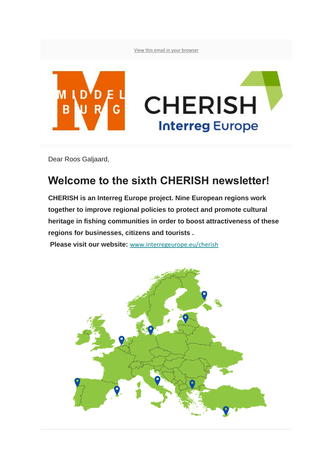[View this email in your browser](https://mailchi.mp/2af589ec6cc7/update-5922888?e=7af234d394)



Dear Roos Galjaard,

## **Welcome to the sixth CHERISH newsletter!**

**CHERISH is an Interreg Europe project. Nine European regions work together to improve regional policies to protect and promote cultural heritage in fishing communities in order to boost attractiveness of these regions for businesses, citizens and tourists .**

**Please visit our website:** [www.interregeurope.eu/cherish](https://interregeurope.us19.list-manage.com/track/click?u=fbd79a58c08324c29154436a5&id=a6e19ffe19&e=7af234d394)

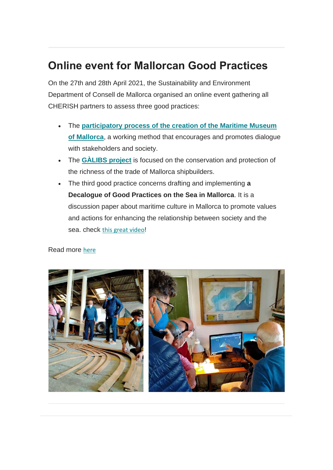## **Online event for Mallorcan Good Practices**

On the 27th and 28th April 2021, the Sustainability and Environment Department of Consell de Mallorca organised an online event gathering all CHERISH partners to assess three good practices:

- The **[participatory process of the creation of the Maritime Museum](https://interregeurope.us19.list-manage.com/track/click?u=fbd79a58c08324c29154436a5&id=7144359f9b&e=7af234d394)  [of Mallorca](https://interregeurope.us19.list-manage.com/track/click?u=fbd79a58c08324c29154436a5&id=7144359f9b&e=7af234d394)**, a working method that encourages and promotes dialogue with stakeholders and society.
- The **[GÀLIBS project](https://interregeurope.us19.list-manage.com/track/click?u=fbd79a58c08324c29154436a5&id=79b466fd9e&e=7af234d394)** is focused on the conservation and protection of the richness of the trade of Mallorca shipbuilders.
- The third good practice concerns drafting and implementing **a Decalogue of Good Practices on the Sea in Mallorca**. It is a discussion paper about maritime culture in Mallorca to promote values and actions for enhancing the relationship between society and the sea. check [this great video](https://interregeurope.us19.list-manage.com/track/click?u=fbd79a58c08324c29154436a5&id=82ef6dff9c&e=7af234d394)!

#### Read more [here](https://interregeurope.us19.list-manage.com/track/click?u=fbd79a58c08324c29154436a5&id=35d178fef5&e=7af234d394)

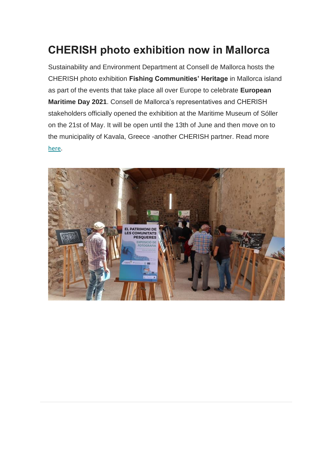## **CHERISH photo exhibition now in Mallorca**

Sustainability and Environment Department at Consell de Mallorca hosts the CHERISH photo exhibition **Fishing Communities' Heritage** in Mallorca island as part of the events that take place all over Europe to celebrate **European Maritime Day 2021**. Consell de Mallorca's representatives and CHERISH stakeholders officially opened the exhibition at the Maritime Museum of Sóller on the 21st of May. It will be open until the 13th of June and then move on to the municipality of Kavala, Greece -another CHERISH partner. Read more [here](https://interregeurope.us19.list-manage.com/track/click?u=fbd79a58c08324c29154436a5&id=61b524a91f&e=7af234d394).

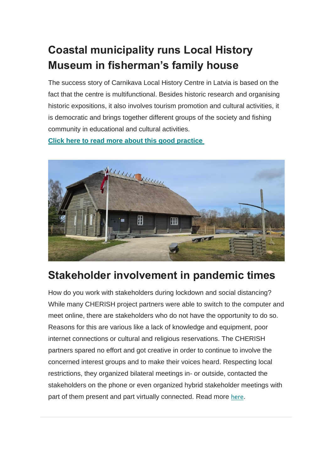# **Coastal municipality runs Local History Museum in fisherman's family house**

The success story of Carnikava Local History Centre in Latvia is based on the fact that the centre is multifunctional. Besides historic research and organising historic expositions, it also involves tourism promotion and cultural activities, it is democratic and brings together different groups of the society and fishing community in educational and cultural activities.

**[Click here to read more about this good practice](https://interregeurope.us19.list-manage.com/track/click?u=fbd79a58c08324c29154436a5&id=a6033655e6&e=7af234d394)**



# **Stakeholder involvement in pandemic times**

How do you work with stakeholders during lockdown and social distancing? While many CHERISH project partners were able to switch to the computer and meet online, there are stakeholders who do not have the opportunity to do so. Reasons for this are various like a lack of knowledge and equipment, poor internet connections or cultural and religious reservations. The CHERISH partners spared no effort and got creative in order to continue to involve the concerned interest groups and to make their voices heard. Respecting local restrictions, they organized bilateral meetings in- or outside, contacted the stakeholders on the phone or even organized hybrid stakeholder meetings with part of them present and part virtually connected. Read more [here](https://interregeurope.us19.list-manage.com/track/click?u=fbd79a58c08324c29154436a5&id=544e7efc78&e=7af234d394).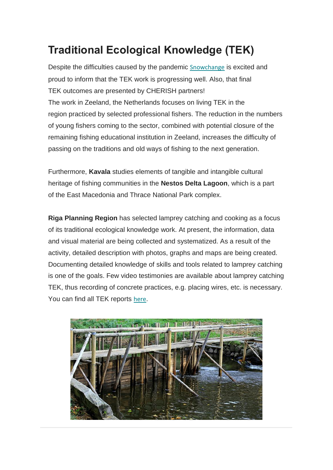# **Traditional Ecological Knowledge (TEK)**

Despite the difficulties caused by the pandemic [Snowchange](https://interregeurope.us19.list-manage.com/track/click?u=fbd79a58c08324c29154436a5&id=847ec9d716&e=7af234d394) is excited and proud to inform that the TEK work is progressing well. Also, that final TEK outcomes are presented by CHERISH partners! The work in Zeeland, the Netherlands focuses on living TEK in the region practiced by selected professional fishers. The reduction in the numbers of young fishers coming to the sector, combined with potential closure of the remaining fishing educational institution in Zeeland, increases the difficulty of passing on the traditions and old ways of fishing to the next generation.

Furthermore, **Kavala** studies elements of tangible and intangible cultural heritage of fishing communities in the **Nestos Delta Lagoon**, which is a part of the East Macedonia and Thrace National Park complex.

**Riga Planning Region** has selected lamprey catching and cooking as a focus of its traditional ecological knowledge work. At present, the information, data and visual material are being collected and systematized. As a result of the activity, detailed description with photos, graphs and maps are being created. Documenting detailed knowledge of skills and tools related to lamprey catching is one of the goals. Few video testimonies are available about lamprey catching TEK, thus recording of concrete practices, e.g. placing wires, etc. is necessary. You can find all TEK reports [here](https://interregeurope.us19.list-manage.com/track/click?u=fbd79a58c08324c29154436a5&id=b12893a5b0&e=7af234d394).

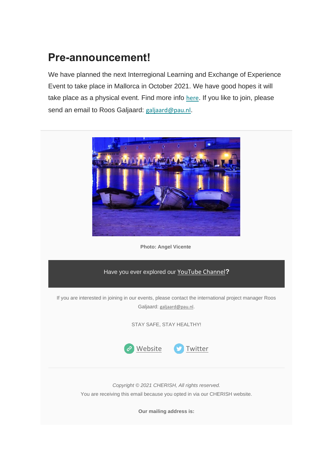## **Pre-announcement!**

We have planned the next Interregional Learning and Exchange of Experience Event to take place in Mallorca in October 2021. We have good hopes it will take place as a physical event. Find more info [here](https://interregeurope.us19.list-manage.com/track/click?u=fbd79a58c08324c29154436a5&id=0d7c5af1ee&e=7af234d394). If you like to join, please send an email to Roos Galjaard: [galjaard@pau.nl](mailto:galjaard@pau.nl).



**Photo: Angel Vicente**

### Have you ever explored our [YouTube Channel](https://interregeurope.us19.list-manage.com/track/click?u=fbd79a58c08324c29154436a5&id=0c6a44df5f&e=7af234d394)**?**

If you are interested in joining in our events, please contact the international project manager Roos Galjaard: [galjaard@pau.nl](mailto:galjaard@pau.nl).

STAY SAFE, STAY HEALTHY!



*Copyright © 2021 CHERISH, All rights reserved.* You are receiving this email because you opted in via our CHERISH website.

**Our mailing address is:**